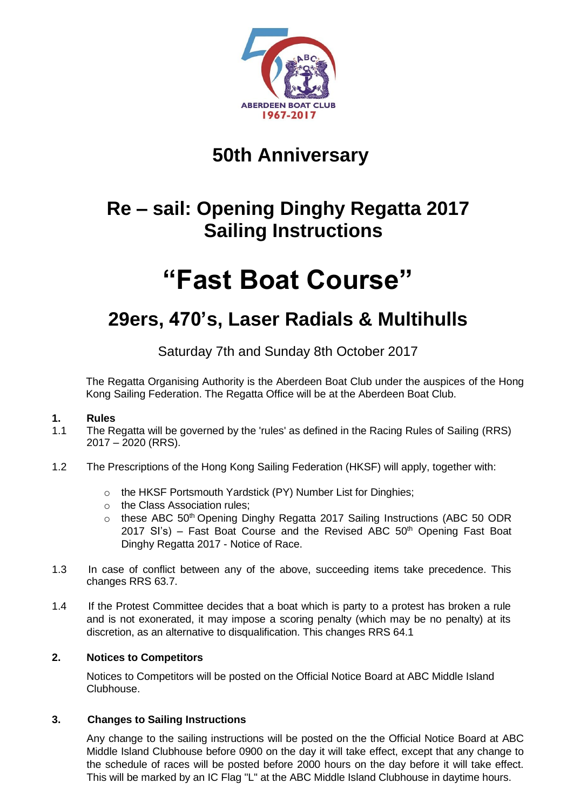

# **50th Anniversary**

# **Re – sail: Opening Dinghy Regatta 2017 Sailing Instructions**

# **"Fast Boat Course"**

# **29ers, 470's, Laser Radials & Multihulls**

Saturday 7th and Sunday 8th October 2017

The Regatta Organising Authority is the Aberdeen Boat Club under the auspices of the Hong Kong Sailing Federation. The Regatta Office will be at the Aberdeen Boat Club.

# **1. Rules**

- 1.1 The Regatta will be governed by the 'rules' as defined in the Racing Rules of Sailing (RRS) 2017 – 2020 (RRS).
- 1.2 The Prescriptions of the Hong Kong Sailing Federation (HKSF) will apply, together with:
	- o the HKSF Portsmouth Yardstick (PY) Number List for Dinghies;
	- o the Class Association rules;
	- $\circ$  these ABC 50<sup>th</sup> Opening Dinghy Regatta 2017 Sailing Instructions (ABC 50 ODR 2017 SI's) – Fast Boat Course and the Revised ABC  $50<sup>th</sup>$  Opening Fast Boat Dinghy Regatta 2017 - Notice of Race.
- 1.3 In case of conflict between any of the above, succeeding items take precedence. This changes RRS 63.7.
- 1.4 If the Protest Committee decides that a boat which is party to a protest has broken a rule and is not exonerated, it may impose a scoring penalty (which may be no penalty) at its discretion, as an alternative to disqualification. This changes RRS 64.1

# **2. Notices to Competitors**

Notices to Competitors will be posted on the Official Notice Board at ABC Middle Island Clubhouse.

#### **3. Changes to Sailing Instructions**

Any change to the sailing instructions will be posted on the the Official Notice Board at ABC Middle Island Clubhouse before 0900 on the day it will take effect, except that any change to the schedule of races will be posted before 2000 hours on the day before it will take effect. This will be marked by an IC Flag "L" at the ABC Middle Island Clubhouse in daytime hours.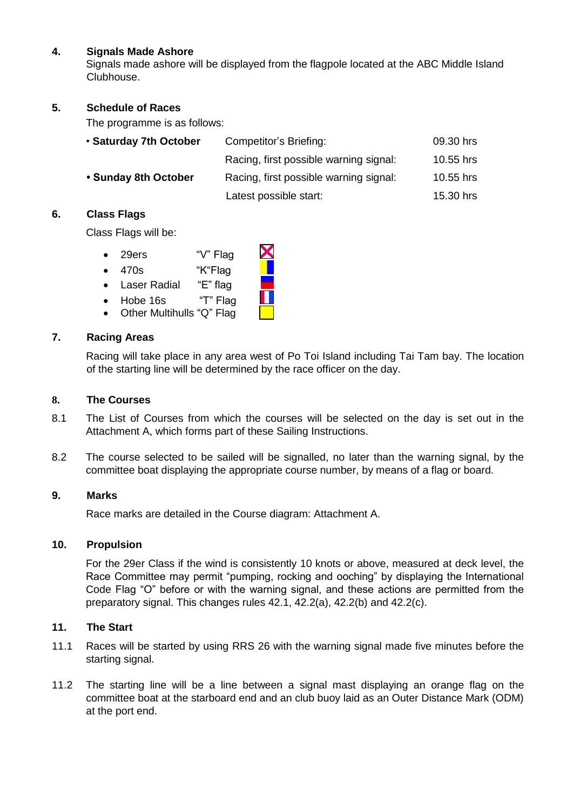### **4. Signals Made Ashore**

Signals made ashore will be displayed from the flagpole located at the ABC Middle Island Clubhouse.

#### **5. Schedule of Races**

The programme is as follows:

| • Saturday 7th October | Competitor's Briefing:                 | 09.30 hrs |
|------------------------|----------------------------------------|-----------|
|                        | Racing, first possible warning signal: | 10.55 hrs |
| • Sunday 8th October   | Racing, first possible warning signal: | 10.55 hrs |
|                        | Latest possible start:                 | 15.30 hrs |

#### **6. Class Flags**

Class Flags will be:

- 29ers "V" Flag
- 470s "K"Flag
- Laser Radial"E" flag
- Hobe 16s "T" Flag
- Other Multihulls "Q" Flag

#### **7. Racing Areas**

Racing will take place in any area west of Po Toi Island including Tai Tam bay. The location of the starting line will be determined by the race officer on the day.

#### **8. The Courses**

- 8.1 The List of Courses from which the courses will be selected on the day is set out in the Attachment A, which forms part of these Sailing Instructions.
- 8.2 The course selected to be sailed will be signalled, no later than the warning signal, by the committee boat displaying the appropriate course number, by means of a flag or board.

#### **9. Marks**

Race marks are detailed in the Course diagram: Attachment A.

#### **10. Propulsion**

For the 29er Class if the wind is consistently 10 knots or above, measured at deck level, the Race Committee may permit "pumping, rocking and ooching" by displaying the International Code Flag "O" before or with the warning signal, and these actions are permitted from the preparatory signal. This changes rules 42.1, 42.2(a), 42.2(b) and 42.2(c).

#### **11. The Start**

- 11.1 Races will be started by using RRS 26 with the warning signal made five minutes before the starting signal.
- 11.2 The starting line will be a line between a signal mast displaying an orange flag on the committee boat at the starboard end and an club buoy laid as an Outer Distance Mark (ODM) at the port end.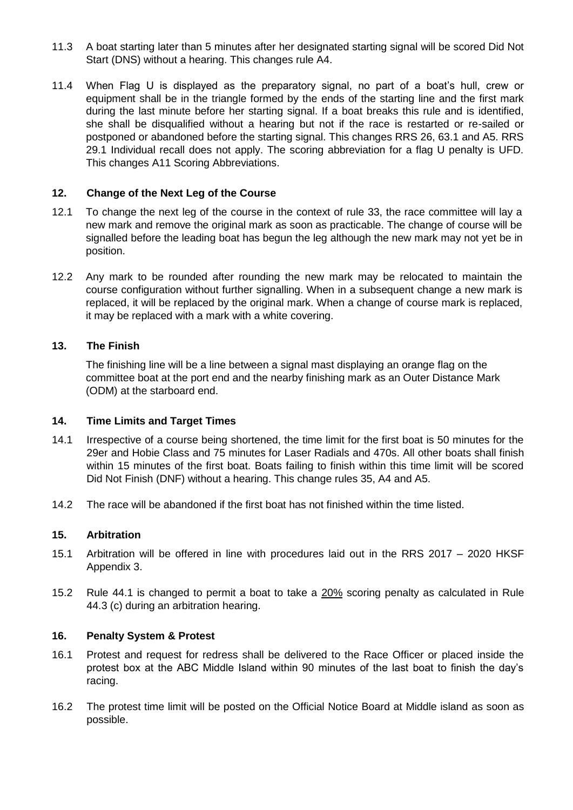- 11.3 A boat starting later than 5 minutes after her designated starting signal will be scored Did Not Start (DNS) without a hearing. This changes rule A4.
- 11.4 When Flag U is displayed as the preparatory signal, no part of a boat's hull, crew or equipment shall be in the triangle formed by the ends of the starting line and the first mark during the last minute before her starting signal. If a boat breaks this rule and is identified, she shall be disqualified without a hearing but not if the race is restarted or re-sailed or postponed or abandoned before the starting signal. This changes RRS 26, 63.1 and A5. RRS 29.1 Individual recall does not apply. The scoring abbreviation for a flag U penalty is UFD. This changes A11 Scoring Abbreviations.

### **12. Change of the Next Leg of the Course**

- 12.1 To change the next leg of the course in the context of rule 33, the race committee will lay a new mark and remove the original mark as soon as practicable. The change of course will be signalled before the leading boat has begun the leg although the new mark may not yet be in position.
- 12.2 Any mark to be rounded after rounding the new mark may be relocated to maintain the course configuration without further signalling. When in a subsequent change a new mark is replaced, it will be replaced by the original mark. When a change of course mark is replaced, it may be replaced with a mark with a white covering.

## **13. The Finish**

The finishing line will be a line between a signal mast displaying an orange flag on the committee boat at the port end and the nearby finishing mark as an Outer Distance Mark (ODM) at the starboard end.

#### **14. Time Limits and Target Times**

- 14.1 Irrespective of a course being shortened, the time limit for the first boat is 50 minutes for the 29er and Hobie Class and 75 minutes for Laser Radials and 470s. All other boats shall finish within 15 minutes of the first boat. Boats failing to finish within this time limit will be scored Did Not Finish (DNF) without a hearing. This change rules 35, A4 and A5.
- 14.2 The race will be abandoned if the first boat has not finished within the time listed.

#### **15. Arbitration**

- 15.1 Arbitration will be offered in line with procedures laid out in the RRS 2017 2020 HKSF Appendix 3.
- 15.2 Rule 44.1 is changed to permit a boat to take a 20% scoring penalty as calculated in Rule 44.3 (c) during an arbitration hearing.

#### **16. Penalty System & Protest**

- 16.1 Protest and request for redress shall be delivered to the Race Officer or placed inside the protest box at the ABC Middle Island within 90 minutes of the last boat to finish the day's racing.
- 16.2 The protest time limit will be posted on the Official Notice Board at Middle island as soon as possible.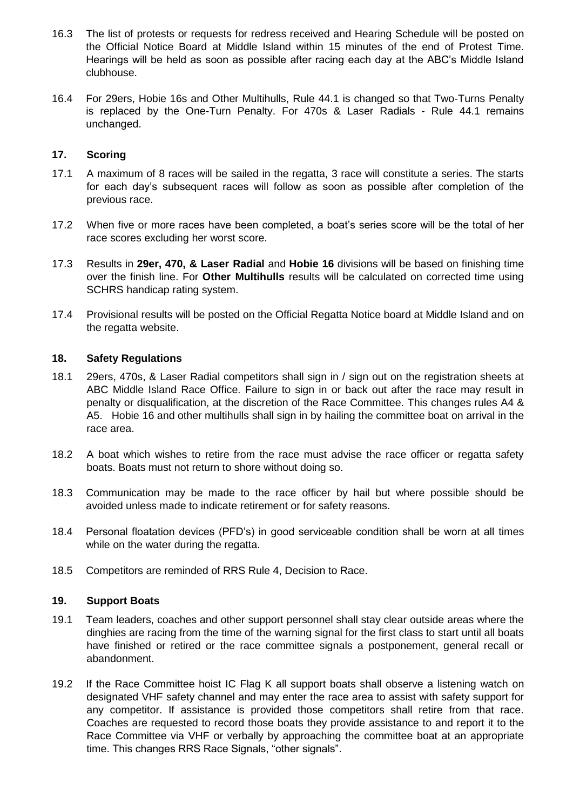- 16.3 The list of protests or requests for redress received and Hearing Schedule will be posted on the Official Notice Board at Middle Island within 15 minutes of the end of Protest Time. Hearings will be held as soon as possible after racing each day at the ABC's Middle Island clubhouse.
- 16.4 For 29ers, Hobie 16s and Other Multihulls, Rule 44.1 is changed so that Two-Turns Penalty is replaced by the One-Turn Penalty. For 470s & Laser Radials - Rule 44.1 remains unchanged.

#### **17. Scoring**

- 17.1 A maximum of 8 races will be sailed in the regatta, 3 race will constitute a series. The starts for each day's subsequent races will follow as soon as possible after completion of the previous race.
- 17.2 When five or more races have been completed, a boat's series score will be the total of her race scores excluding her worst score.
- 17.3 Results in **29er, 470, & Laser Radial** and **Hobie 16** divisions will be based on finishing time over the finish line. For **Other Multihulls** results will be calculated on corrected time using SCHRS handicap rating system.
- 17.4 Provisional results will be posted on the Official Regatta Notice board at Middle Island and on the regatta website.

#### **18. Safety Regulations**

- 18.1 29ers, 470s, & Laser Radial competitors shall sign in / sign out on the registration sheets at ABC Middle Island Race Office. Failure to sign in or back out after the race may result in penalty or disqualification, at the discretion of the Race Committee. This changes rules A4 & A5. Hobie 16 and other multihulls shall sign in by hailing the committee boat on arrival in the race area.
- 18.2 A boat which wishes to retire from the race must advise the race officer or regatta safety boats. Boats must not return to shore without doing so.
- 18.3 Communication may be made to the race officer by hail but where possible should be avoided unless made to indicate retirement or for safety reasons.
- 18.4 Personal floatation devices (PFD's) in good serviceable condition shall be worn at all times while on the water during the regatta.
- 18.5 Competitors are reminded of RRS Rule 4, Decision to Race.

#### **19. Support Boats**

- 19.1 Team leaders, coaches and other support personnel shall stay clear outside areas where the dinghies are racing from the time of the warning signal for the first class to start until all boats have finished or retired or the race committee signals a postponement, general recall or abandonment.
- 19.2 If the Race Committee hoist IC Flag K all support boats shall observe a listening watch on designated VHF safety channel and may enter the race area to assist with safety support for any competitor. If assistance is provided those competitors shall retire from that race. Coaches are requested to record those boats they provide assistance to and report it to the Race Committee via VHF or verbally by approaching the committee boat at an appropriate time. This changes RRS Race Signals, "other signals".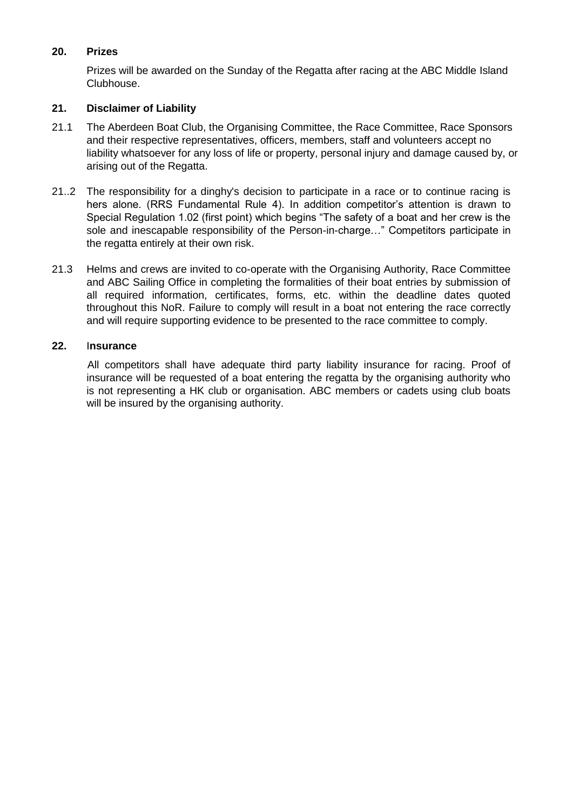## **20. Prizes**

Prizes will be awarded on the Sunday of the Regatta after racing at the ABC Middle Island Clubhouse.

## **21. Disclaimer of Liability**

- 21.1 The Aberdeen Boat Club, the Organising Committee, the Race Committee, Race Sponsors and their respective representatives, officers, members, staff and volunteers accept no liability whatsoever for any loss of life or property, personal injury and damage caused by, or arising out of the Regatta.
- 21..2 The responsibility for a dinghy's decision to participate in a race or to continue racing is hers alone. (RRS Fundamental Rule 4). In addition competitor's attention is drawn to Special Regulation 1.02 (first point) which begins "The safety of a boat and her crew is the sole and inescapable responsibility of the Person-in-charge…" Competitors participate in the regatta entirely at their own risk.
- 21.3 Helms and crews are invited to co-operate with the Organising Authority, Race Committee and ABC Sailing Office in completing the formalities of their boat entries by submission of all required information, certificates, forms, etc. within the deadline dates quoted throughout this NoR. Failure to comply will result in a boat not entering the race correctly and will require supporting evidence to be presented to the race committee to comply.

#### **22.** I**nsurance**

 All competitors shall have adequate third party liability insurance for racing. Proof of insurance will be requested of a boat entering the regatta by the organising authority who is not representing a HK club or organisation. ABC members or cadets using club boats will be insured by the organising authority.